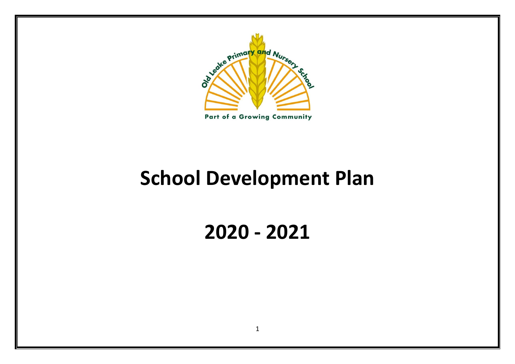

Part of a Growing Community

# **School Development Plan**

**2020 - 2021**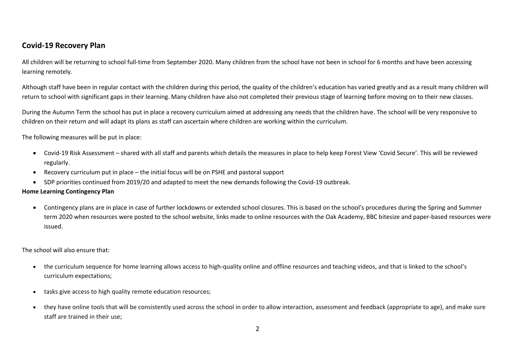## **Covid-19 Recovery Plan**

All children will be returning to school full-time from September 2020. Many children from the school have not been in school for 6 months and have been accessing learning remotely.

Although staff have been in regular contact with the children during this period, the quality of the children's education has varied greatly and as a result many children will return to school with significant gaps in their learning. Many children have also not completed their previous stage of learning before moving on to their new classes.

During the Autumn Term the school has put in place a recovery curriculum aimed at addressing any needs that the children have. The school will be very responsive to children on their return and will adapt its plans as staff can ascertain where children are working within the curriculum.

The following measures will be put in place:

- Covid-19 Risk Assessment shared with all staff and parents which details the measures in place to help keep Forest View 'Covid Secure'. This will be reviewed regularly.
- Recovery curriculum put in place the initial focus will be on PSHE and pastoral support
- SDP priorities continued from 2019/20 and adapted to meet the new demands following the Covid-19 outbreak.

#### **Home Learning Contingency Plan**

• Contingency plans are in place in case of further lockdowns or extended school closures. This is based on the school's procedures during the Spring and Summer term 2020 when resources were posted to the school website, links made to online resources with the Oak Academy, BBC bitesize and paper-based resources were issued.

The school will also ensure that:

- the curriculum sequence for home learning allows access to high-quality online and offline resources and teaching videos, and that is linked to the school's curriculum expectations;
- tasks give access to high quality remote education resources;
- they have online tools that will be consistently used across the school in order to allow interaction, assessment and feedback (appropriate to age), and make sure staff are trained in their use;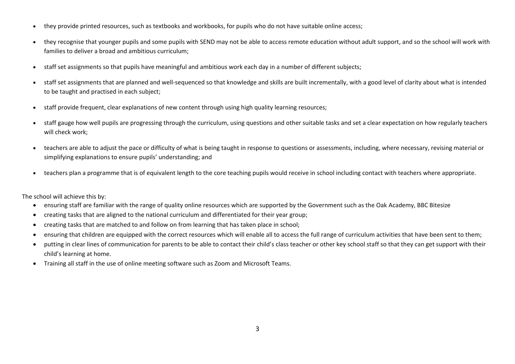- they provide printed resources, such as textbooks and workbooks, for pupils who do not have suitable online access;
- they recognise that younger pupils and some pupils with SEND may not be able to access remote education without adult support, and so the school will work with families to deliver a broad and ambitious curriculum;
- staff set assignments so that pupils have meaningful and ambitious work each day in a number of different subjects;
- staff set assignments that are planned and well-sequenced so that knowledge and skills are built incrementally, with a good level of clarity about what is intended to be taught and practised in each subject;
- staff provide frequent, clear explanations of new content through using high quality learning resources;
- staff gauge how well pupils are progressing through the curriculum, using questions and other suitable tasks and set a clear expectation on how regularly teachers will check work;
- teachers are able to adjust the pace or difficulty of what is being taught in response to questions or assessments, including, where necessary, revising material or simplifying explanations to ensure pupils' understanding; and
- teachers plan a programme that is of equivalent length to the core teaching pupils would receive in school including contact with teachers where appropriate.

The school will achieve this by:

- ensuring staff are familiar with the range of quality online resources which are supported by the Government such as the Oak Academy, BBC Bitesize
- creating tasks that are aligned to the national curriculum and differentiated for their year group;
- creating tasks that are matched to and follow on from learning that has taken place in school;
- ensuring that children are equipped with the correct resources which will enable all to access the full range of curriculum activities that have been sent to them;
- putting in clear lines of communication for parents to be able to contact their child's class teacher or other key school staff so that they can get support with their child's learning at home.
- Training all staff in the use of online meeting software such as Zoom and Microsoft Teams.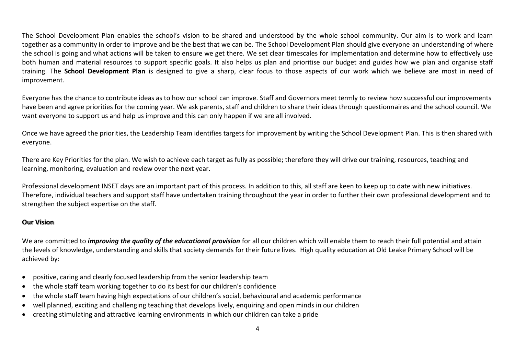The School Development Plan enables the school's vision to be shared and understood by the whole school community. Our aim is to work and learn together as a community in order to improve and be the best that we can be. The School Development Plan should give everyone an understanding of where the school is going and what actions will be taken to ensure we get there. We set clear timescales for implementation and determine how to effectively use both human and material resources to support specific goals. It also helps us plan and prioritise our budget and guides how we plan and organise staff training. The **School Development Plan** is designed to give a sharp, clear focus to those aspects of our work which we believe are most in need of improvement.

Everyone has the chance to contribute ideas as to how our school can improve. Staff and Governors meet termly to review how successful our improvements have been and agree priorities for the coming year. We ask parents, staff and children to share their ideas through questionnaires and the school council. We want everyone to support us and help us improve and this can only happen if we are all involved.

Once we have agreed the priorities, the Leadership Team identifies targets for improvement by writing the School Development Plan. This is then shared with everyone.

There are Key Priorities for the plan. We wish to achieve each target as fully as possible; therefore they will drive our training, resources, teaching and learning, monitoring, evaluation and review over the next year.

Professional development INSET days are an important part of this process. In addition to this, all staff are keen to keep up to date with new initiatives. Therefore, individual teachers and support staff have undertaken training throughout the year in order to further their own professional development and to strengthen the subject expertise on the staff.

## **Our Vision**

We are committed to *improving the quality of the educational provision* for all our children which will enable them to reach their full potential and attain the levels of knowledge, understanding and skills that society demands for their future lives. High quality education at Old Leake Primary School will be achieved by:

- positive, caring and clearly focused leadership from the senior leadership team
- the whole staff team working together to do its best for our children's confidence
- the whole staff team having high expectations of our children's social, behavioural and academic performance
- well planned, exciting and challenging teaching that develops lively, enquiring and open minds in our children
- creating stimulating and attractive learning environments in which our children can take a pride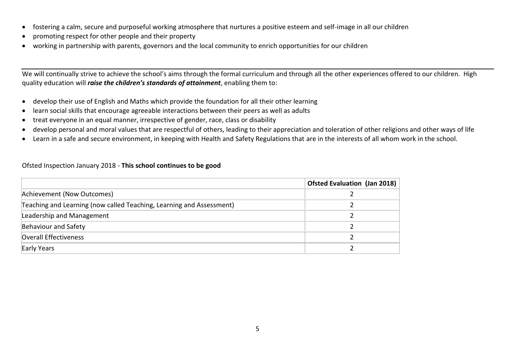- fostering a calm, secure and purposeful working atmosphere that nurtures a positive esteem and self-image in all our children
- promoting respect for other people and their property
- working in partnership with parents, governors and the local community to enrich opportunities for our children

We will continually strive to achieve the school's aims through the formal curriculum and through all the other experiences offered to our children. High quality education will *raise the children's standards of attainment*, enabling them to:

- develop their use of English and Maths which provide the foundation for all their other learning
- learn social skills that encourage agreeable interactions between their peers as well as adults
- treat everyone in an equal manner, irrespective of gender, race, class or disability
- develop personal and moral values that are respectful of others, leading to their appreciation and toleration of other religions and other ways of life
- Learn in a safe and secure environment, in keeping with Health and Safety Regulations that are in the interests of all whom work in the school.

#### Ofsted Inspection January 2018 - **This school continues to be good**

|                                                                      | Ofsted Evaluation (Jan 2018) |
|----------------------------------------------------------------------|------------------------------|
| Achievement (Now Outcomes)                                           |                              |
| Teaching and Learning (now called Teaching, Learning and Assessment) |                              |
| Leadership and Management                                            |                              |
| Behaviour and Safety                                                 |                              |
| Overall Effectiveness                                                |                              |
| Early Years                                                          |                              |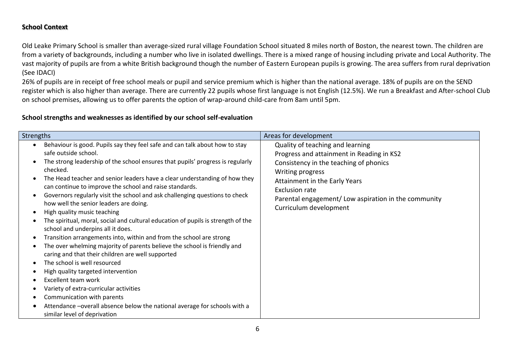## **School Context**

Old Leake Primary School is smaller than average-sized rural village Foundation School situated 8 miles north of Boston, the nearest town. The children are from a variety of backgrounds, including a number who live in isolated dwellings. There is a mixed range of housing including private and Local Authority. The vast majority of pupils are from a white British background though the number of Eastern European pupils is growing. The area suffers from rural deprivation (See IDACI)

26% of pupils are in receipt of free school meals or pupil and service premium which is higher than the national average. 18% of pupils are on the SEND register which is also higher than average. There are currently 22 pupils whose first language is not English (12.5%). We run a Breakfast and After-school Club on school premises, allowing us to offer parents the option of wrap-around child-care from 8am until 5pm.

## **School strengths and weaknesses as identified by our school self-evaluation**

| <b>Strengths</b>                                                                                                                                                                                                                                                                                                                                                                                                                                                                                                                                                                                                                                                                                                                                                                                                                                                                                                                                                                                                                                                                                                             | Areas for development                                                                                                                                                                                                                                                                  |
|------------------------------------------------------------------------------------------------------------------------------------------------------------------------------------------------------------------------------------------------------------------------------------------------------------------------------------------------------------------------------------------------------------------------------------------------------------------------------------------------------------------------------------------------------------------------------------------------------------------------------------------------------------------------------------------------------------------------------------------------------------------------------------------------------------------------------------------------------------------------------------------------------------------------------------------------------------------------------------------------------------------------------------------------------------------------------------------------------------------------------|----------------------------------------------------------------------------------------------------------------------------------------------------------------------------------------------------------------------------------------------------------------------------------------|
| Behaviour is good. Pupils say they feel safe and can talk about how to stay<br>safe outside school.<br>The strong leadership of the school ensures that pupils' progress is regularly<br>checked.<br>The Head teacher and senior leaders have a clear understanding of how they<br>can continue to improve the school and raise standards.<br>Governors regularly visit the school and ask challenging questions to check<br>how well the senior leaders are doing.<br>High quality music teaching<br>The spiritual, moral, social and cultural education of pupils is strength of the<br>school and underpins all it does.<br>Transition arrangements into, within and from the school are strong<br>The over whelming majority of parents believe the school is friendly and<br>caring and that their children are well supported<br>The school is well resourced<br>High quality targeted intervention<br><b>Excellent team work</b><br>Variety of extra-curricular activities<br>Communication with parents<br>Attendance -overall absence below the national average for schools with a<br>similar level of deprivation | Quality of teaching and learning<br>Progress and attainment in Reading in KS2<br>Consistency in the teaching of phonics<br>Writing progress<br>Attainment in the Early Years<br><b>Exclusion rate</b><br>Parental engagement/Low aspiration in the community<br>Curriculum development |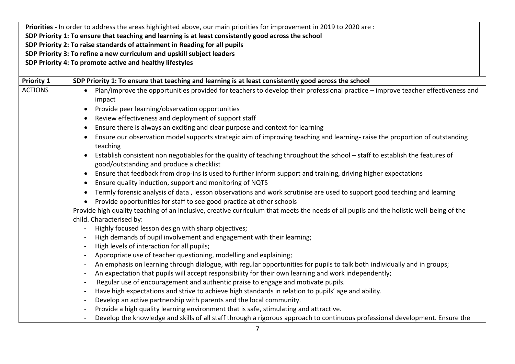**Priorities -** In order to address the areas highlighted above, our main priorities for improvement in 2019 to 2020 are : **SDP Priority 1: To ensure that teaching and learning is at least consistently good across the school SDP Priority 2: To raise standards of attainment in Reading for all pupils SDP Priority 3: To refine a new curriculum and upskill subject leaders**

**SDP Priority 4: To promote active and healthy lifestyles**

| <b>Priority 1</b> | SDP Priority 1: To ensure that teaching and learning is at least consistently good across the school                                                                    |  |  |
|-------------------|-------------------------------------------------------------------------------------------------------------------------------------------------------------------------|--|--|
| <b>ACTIONS</b>    | Plan/improve the opportunities provided for teachers to develop their professional practice – improve teacher effectiveness and                                         |  |  |
|                   | impact                                                                                                                                                                  |  |  |
|                   | Provide peer learning/observation opportunities<br>$\bullet$                                                                                                            |  |  |
|                   | Review effectiveness and deployment of support staff<br>$\bullet$                                                                                                       |  |  |
|                   | Ensure there is always an exciting and clear purpose and context for learning                                                                                           |  |  |
|                   | Ensure our observation model supports strategic aim of improving teaching and learning- raise the proportion of outstanding<br>$\bullet$<br>teaching                    |  |  |
|                   | Establish consistent non negotiables for the quality of teaching throughout the school - staff to establish the features of<br>good/outstanding and produce a checklist |  |  |
|                   | Ensure that feedback from drop-ins is used to further inform support and training, driving higher expectations<br>$\bullet$                                             |  |  |
|                   | Ensure quality induction, support and monitoring of NQTS<br>$\bullet$                                                                                                   |  |  |
|                   | Termly forensic analysis of data, lesson observations and work scrutinise are used to support good teaching and learning                                                |  |  |
|                   | Provide opportunities for staff to see good practice at other schools                                                                                                   |  |  |
|                   | Provide high quality teaching of an inclusive, creative curriculum that meets the needs of all pupils and the holistic well-being of the                                |  |  |
|                   | child. Characterised by:                                                                                                                                                |  |  |
|                   | Highly focused lesson design with sharp objectives;<br>$\blacksquare$                                                                                                   |  |  |
|                   | High demands of pupil involvement and engagement with their learning;                                                                                                   |  |  |
|                   | High levels of interaction for all pupils;                                                                                                                              |  |  |
|                   | Appropriate use of teacher questioning, modelling and explaining;                                                                                                       |  |  |
|                   | An emphasis on learning through dialogue, with regular opportunities for pupils to talk both individually and in groups;<br>$\blacksquare$                              |  |  |
|                   | An expectation that pupils will accept responsibility for their own learning and work independently;<br>$\blacksquare$                                                  |  |  |
|                   | Regular use of encouragement and authentic praise to engage and motivate pupils.<br>$\overline{\phantom{a}}$                                                            |  |  |
|                   | Have high expectations and strive to achieve high standards in relation to pupils' age and ability.<br>$\blacksquare$                                                   |  |  |
|                   | Develop an active partnership with parents and the local community.<br>$\overline{\phantom{a}}$                                                                         |  |  |
|                   | Provide a high quality learning environment that is safe, stimulating and attractive.                                                                                   |  |  |
|                   | Develop the knowledge and skills of all staff through a rigorous approach to continuous professional development. Ensure the                                            |  |  |
|                   |                                                                                                                                                                         |  |  |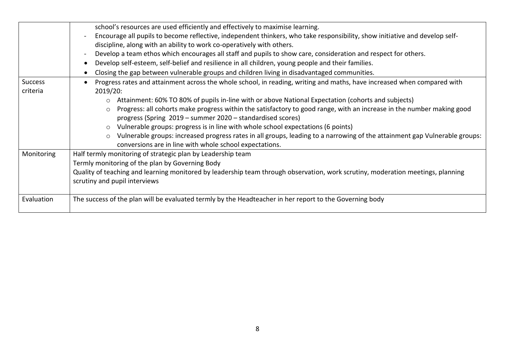|                | school's resources are used efficiently and effectively to maximise learning.                                                         |  |  |
|----------------|---------------------------------------------------------------------------------------------------------------------------------------|--|--|
|                | Encourage all pupils to become reflective, independent thinkers, who take responsibility, show initiative and develop self-           |  |  |
|                | discipline, along with an ability to work co-operatively with others.                                                                 |  |  |
|                | Develop a team ethos which encourages all staff and pupils to show care, consideration and respect for others.                        |  |  |
|                | Develop self-esteem, self-belief and resilience in all children, young people and their families.                                     |  |  |
|                | Closing the gap between vulnerable groups and children living in disadvantaged communities.                                           |  |  |
| <b>Success</b> | Progress rates and attainment across the whole school, in reading, writing and maths, have increased when compared with               |  |  |
| criteria       | 2019/20:                                                                                                                              |  |  |
|                | Attainment: 60% TO 80% of pupils in-line with or above National Expectation (cohorts and subjects)                                    |  |  |
|                | Progress: all cohorts make progress within the satisfactory to good range, with an increase in the number making good<br>$\circ$      |  |  |
|                | progress (Spring 2019 – summer 2020 – standardised scores)                                                                            |  |  |
|                | Vulnerable groups: progress is in line with whole school expectations (6 points)                                                      |  |  |
|                | Vulnerable groups: increased progress rates in all groups, leading to a narrowing of the attainment gap Vulnerable groups:<br>$\circ$ |  |  |
|                | conversions are in line with whole school expectations.                                                                               |  |  |
| Monitoring     | Half termly monitoring of strategic plan by Leadership team                                                                           |  |  |
|                | Termly monitoring of the plan by Governing Body                                                                                       |  |  |
|                | Quality of teaching and learning monitored by leadership team through observation, work scrutiny, moderation meetings, planning       |  |  |
|                | scrutiny and pupil interviews                                                                                                         |  |  |
|                |                                                                                                                                       |  |  |
| Evaluation     | The success of the plan will be evaluated termly by the Headteacher in her report to the Governing body                               |  |  |
|                |                                                                                                                                       |  |  |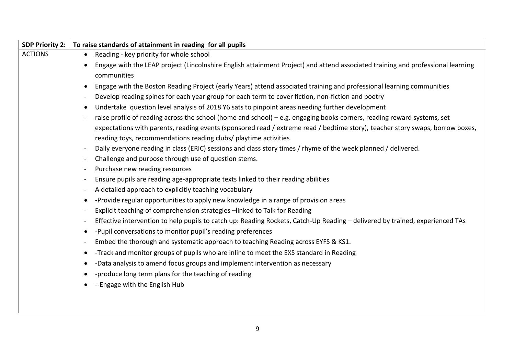| <b>SDP Priority 2:</b> | To raise standards of attainment in reading for all pupils                                                                                     |  |  |
|------------------------|------------------------------------------------------------------------------------------------------------------------------------------------|--|--|
| <b>ACTIONS</b>         | Reading - key priority for whole school                                                                                                        |  |  |
|                        | Engage with the LEAP project (Lincolnshire English attainment Project) and attend associated training and professional learning<br>$\bullet$   |  |  |
|                        | communities                                                                                                                                    |  |  |
|                        | Engage with the Boston Reading Project (early Years) attend associated training and professional learning communities<br>$\bullet$             |  |  |
|                        | Develop reading spines for each year group for each term to cover fiction, non-fiction and poetry<br>$\qquad \qquad$                           |  |  |
|                        | Undertake question level analysis of 2018 Y6 sats to pinpoint areas needing further development<br>$\bullet$                                   |  |  |
|                        | raise profile of reading across the school (home and school) – e.g. engaging books corners, reading reward systems, set                        |  |  |
|                        | expectations with parents, reading events (sponsored read / extreme read / bedtime story), teacher story swaps, borrow boxes,                  |  |  |
|                        | reading toys, recommendations reading clubs/ playtime activities                                                                               |  |  |
|                        | Daily everyone reading in class (ERIC) sessions and class story times / rhyme of the week planned / delivered.<br>$\overline{\phantom{a}}$     |  |  |
|                        | Challenge and purpose through use of question stems.<br>$\blacksquare$                                                                         |  |  |
|                        | Purchase new reading resources<br>$\qquad \qquad \blacksquare$                                                                                 |  |  |
|                        | Ensure pupils are reading age-appropriate texts linked to their reading abilities<br>$\blacksquare$                                            |  |  |
|                        | A detailed approach to explicitly teaching vocabulary<br>$\overline{\phantom{a}}$                                                              |  |  |
|                        | -Provide regular opportunities to apply new knowledge in a range of provision areas<br>٠                                                       |  |  |
|                        | Explicit teaching of comprehension strategies -linked to Talk for Reading<br>$\overline{\phantom{a}}$                                          |  |  |
|                        | Effective intervention to help pupils to catch up: Reading Rockets, Catch-Up Reading - delivered by trained, experienced TAs<br>$\blacksquare$ |  |  |
|                        | -Pupil conversations to monitor pupil's reading preferences<br>$\bullet$                                                                       |  |  |
|                        | Embed the thorough and systematic approach to teaching Reading across EYFS & KS1.<br>$\blacksquare$                                            |  |  |
|                        | -Track and monitor groups of pupils who are inline to meet the EXS standard in Reading<br>$\bullet$                                            |  |  |
|                        | -Data analysis to amend focus groups and implement intervention as necessary                                                                   |  |  |
|                        | -produce long term plans for the teaching of reading                                                                                           |  |  |
|                        | --Engage with the English Hub                                                                                                                  |  |  |
|                        |                                                                                                                                                |  |  |
|                        |                                                                                                                                                |  |  |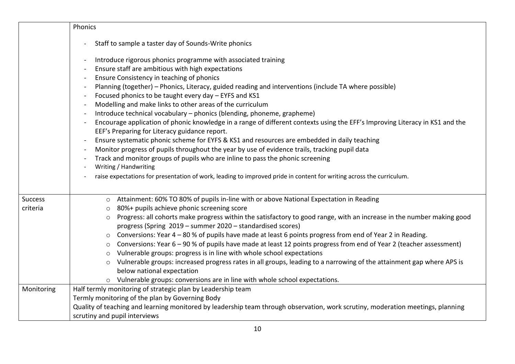|            | Phonics                                                                                                                                                                                                                                                                                                                                                                                                                                                                                                                                                                                                                                                                                                                                                                                                                                                                                                                                                                                                                                                                                      |  |  |
|------------|----------------------------------------------------------------------------------------------------------------------------------------------------------------------------------------------------------------------------------------------------------------------------------------------------------------------------------------------------------------------------------------------------------------------------------------------------------------------------------------------------------------------------------------------------------------------------------------------------------------------------------------------------------------------------------------------------------------------------------------------------------------------------------------------------------------------------------------------------------------------------------------------------------------------------------------------------------------------------------------------------------------------------------------------------------------------------------------------|--|--|
|            |                                                                                                                                                                                                                                                                                                                                                                                                                                                                                                                                                                                                                                                                                                                                                                                                                                                                                                                                                                                                                                                                                              |  |  |
|            | Staff to sample a taster day of Sounds-Write phonics                                                                                                                                                                                                                                                                                                                                                                                                                                                                                                                                                                                                                                                                                                                                                                                                                                                                                                                                                                                                                                         |  |  |
|            | Introduce rigorous phonics programme with associated training<br>Ensure staff are ambitious with high expectations<br>Ensure Consistency in teaching of phonics<br>Planning (together) - Phonics, Literacy, guided reading and interventions (include TA where possible)<br>Focused phonics to be taught every day - EYFS and KS1<br>Modelling and make links to other areas of the curriculum<br>Introduce technical vocabulary - phonics (blending, phoneme, grapheme)<br>Encourage application of phonic knowledge in a range of different contexts using the EFF's Improving Literacy in KS1 and the<br>EEF's Preparing for Literacy guidance report.<br>Ensure systematic phonic scheme for EYFS & KS1 and resources are embedded in daily teaching<br>Monitor progress of pupils throughout the year by use of evidence trails, tracking pupil data<br>Track and monitor groups of pupils who are inline to pass the phonic screening<br>Writing / Handwriting<br>raise expectations for presentation of work, leading to improved pride in content for writing across the curriculum. |  |  |
|            |                                                                                                                                                                                                                                                                                                                                                                                                                                                                                                                                                                                                                                                                                                                                                                                                                                                                                                                                                                                                                                                                                              |  |  |
| Success    | Attainment: 60% TO 80% of pupils in-line with or above National Expectation in Reading                                                                                                                                                                                                                                                                                                                                                                                                                                                                                                                                                                                                                                                                                                                                                                                                                                                                                                                                                                                                       |  |  |
| criteria   | 80%+ pupils achieve phonic screening score<br>$\circ$                                                                                                                                                                                                                                                                                                                                                                                                                                                                                                                                                                                                                                                                                                                                                                                                                                                                                                                                                                                                                                        |  |  |
|            | Progress: all cohorts make progress within the satisfactory to good range, with an increase in the number making good<br>$\circ$<br>progress (Spring 2019 - summer 2020 - standardised scores)                                                                                                                                                                                                                                                                                                                                                                                                                                                                                                                                                                                                                                                                                                                                                                                                                                                                                               |  |  |
|            | Conversions: Year 4 - 80 % of pupils have made at least 6 points progress from end of Year 2 in Reading.<br>$\circ$                                                                                                                                                                                                                                                                                                                                                                                                                                                                                                                                                                                                                                                                                                                                                                                                                                                                                                                                                                          |  |  |
|            | Conversions: Year 6 – 90 % of pupils have made at least 12 points progress from end of Year 2 (teacher assessment)<br>$\circ$                                                                                                                                                                                                                                                                                                                                                                                                                                                                                                                                                                                                                                                                                                                                                                                                                                                                                                                                                                |  |  |
|            | Vulnerable groups: progress is in line with whole school expectations<br>$\circ$                                                                                                                                                                                                                                                                                                                                                                                                                                                                                                                                                                                                                                                                                                                                                                                                                                                                                                                                                                                                             |  |  |
|            | Vulnerable groups: increased progress rates in all groups, leading to a narrowing of the attainment gap where APS is<br>$\circ$                                                                                                                                                                                                                                                                                                                                                                                                                                                                                                                                                                                                                                                                                                                                                                                                                                                                                                                                                              |  |  |
|            | below national expectation                                                                                                                                                                                                                                                                                                                                                                                                                                                                                                                                                                                                                                                                                                                                                                                                                                                                                                                                                                                                                                                                   |  |  |
|            | Vulnerable groups: conversions are in line with whole school expectations.                                                                                                                                                                                                                                                                                                                                                                                                                                                                                                                                                                                                                                                                                                                                                                                                                                                                                                                                                                                                                   |  |  |
| Monitoring | Half termly monitoring of strategic plan by Leadership team                                                                                                                                                                                                                                                                                                                                                                                                                                                                                                                                                                                                                                                                                                                                                                                                                                                                                                                                                                                                                                  |  |  |
|            | Termly monitoring of the plan by Governing Body                                                                                                                                                                                                                                                                                                                                                                                                                                                                                                                                                                                                                                                                                                                                                                                                                                                                                                                                                                                                                                              |  |  |
|            | Quality of teaching and learning monitored by leadership team through observation, work scrutiny, moderation meetings, planning                                                                                                                                                                                                                                                                                                                                                                                                                                                                                                                                                                                                                                                                                                                                                                                                                                                                                                                                                              |  |  |
|            | scrutiny and pupil interviews                                                                                                                                                                                                                                                                                                                                                                                                                                                                                                                                                                                                                                                                                                                                                                                                                                                                                                                                                                                                                                                                |  |  |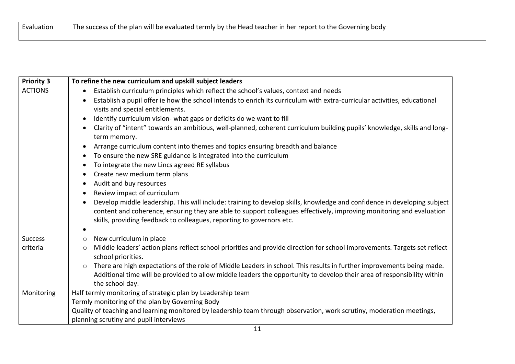| Evaluation | The success of the plan will be evaluated termly by the Head teacher in her report to the Governing body |
|------------|----------------------------------------------------------------------------------------------------------|
|            |                                                                                                          |

| <b>Priority 3</b> | To refine the new curriculum and upskill subject leaders                                                                              |  |  |
|-------------------|---------------------------------------------------------------------------------------------------------------------------------------|--|--|
| <b>ACTIONS</b>    | Establish curriculum principles which reflect the school's values, context and needs<br>$\bullet$                                     |  |  |
|                   | Establish a pupil offer ie how the school intends to enrich its curriculum with extra-curricular activities, educational<br>$\bullet$ |  |  |
|                   | visits and special entitlements.                                                                                                      |  |  |
|                   | Identify curriculum vision- what gaps or deficits do we want to fill<br>$\bullet$                                                     |  |  |
|                   | Clarity of "intent" towards an ambitious, well-planned, coherent curriculum building pupils' knowledge, skills and long-<br>$\bullet$ |  |  |
|                   | term memory.                                                                                                                          |  |  |
|                   | Arrange curriculum content into themes and topics ensuring breadth and balance                                                        |  |  |
|                   | To ensure the new SRE guidance is integrated into the curriculum<br>٠                                                                 |  |  |
|                   | To integrate the new Lincs agreed RE syllabus<br>$\bullet$                                                                            |  |  |
|                   | Create new medium term plans<br>$\bullet$                                                                                             |  |  |
|                   | Audit and buy resources<br>$\bullet$                                                                                                  |  |  |
|                   | Review impact of curriculum<br>$\bullet$                                                                                              |  |  |
|                   | Develop middle leadership. This will include: training to develop skills, knowledge and confidence in developing subject<br>$\bullet$ |  |  |
|                   | content and coherence, ensuring they are able to support colleagues effectively, improving monitoring and evaluation                  |  |  |
|                   | skills, providing feedback to colleagues, reporting to governors etc.                                                                 |  |  |
|                   | $\bullet$                                                                                                                             |  |  |
| <b>Success</b>    | New curriculum in place<br>$\circ$                                                                                                    |  |  |
| criteria          | Middle leaders' action plans reflect school priorities and provide direction for school improvements. Targets set reflect<br>$\circ$  |  |  |
|                   | school priorities.                                                                                                                    |  |  |
|                   | There are high expectations of the role of Middle Leaders in school. This results in further improvements being made.<br>$\circ$      |  |  |
|                   | Additional time will be provided to allow middle leaders the opportunity to develop their area of responsibility within               |  |  |
|                   | the school day.                                                                                                                       |  |  |
| Monitoring        | Half termly monitoring of strategic plan by Leadership team                                                                           |  |  |
|                   | Termly monitoring of the plan by Governing Body                                                                                       |  |  |
|                   | Quality of teaching and learning monitored by leadership team through observation, work scrutiny, moderation meetings,                |  |  |
|                   | planning scrutiny and pupil interviews                                                                                                |  |  |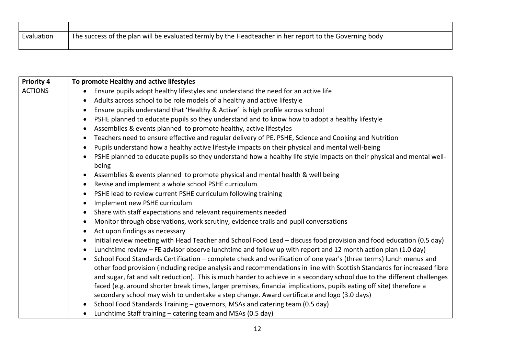| Evaluation | The success of the plan will be evaluated termly by the Headteacher in her report to the Governing body |
|------------|---------------------------------------------------------------------------------------------------------|
|            |                                                                                                         |

| <b>Priority 4</b> | To promote Healthy and active lifestyles                                                                                           |  |  |
|-------------------|------------------------------------------------------------------------------------------------------------------------------------|--|--|
| <b>ACTIONS</b>    | Ensure pupils adopt healthy lifestyles and understand the need for an active life<br>$\bullet$                                     |  |  |
|                   | Adults across school to be role models of a healthy and active lifestyle<br>$\bullet$                                              |  |  |
|                   | Ensure pupils understand that 'Healthy & Active' is high profile across school<br>$\bullet$                                        |  |  |
|                   | PSHE planned to educate pupils so they understand and to know how to adopt a healthy lifestyle<br>$\bullet$                        |  |  |
|                   | Assemblies & events planned to promote healthy, active lifestyles<br>$\bullet$                                                     |  |  |
|                   | Teachers need to ensure effective and regular delivery of PE, PSHE, Science and Cooking and Nutrition<br>$\bullet$                 |  |  |
|                   | Pupils understand how a healthy active lifestyle impacts on their physical and mental well-being<br>$\bullet$                      |  |  |
|                   | PSHE planned to educate pupils so they understand how a healthy life style impacts on their physical and mental well-<br>$\bullet$ |  |  |
|                   | being                                                                                                                              |  |  |
|                   | Assemblies & events planned to promote physical and mental health & well being<br>$\bullet$                                        |  |  |
|                   | Revise and implement a whole school PSHE curriculum<br>$\bullet$                                                                   |  |  |
|                   | PSHE lead to review current PSHE curriculum following training<br>$\bullet$                                                        |  |  |
|                   | Implement new PSHE curriculum<br>$\bullet$                                                                                         |  |  |
|                   | Share with staff expectations and relevant requirements needed<br>$\bullet$                                                        |  |  |
|                   | Monitor through observations, work scrutiny, evidence trails and pupil conversations<br>$\bullet$                                  |  |  |
|                   | Act upon findings as necessary<br>$\bullet$                                                                                        |  |  |
|                   | Initial review meeting with Head Teacher and School Food Lead - discuss food provision and food education (0.5 day)<br>$\bullet$   |  |  |
|                   | Lunchtime review - FE advisor observe lunchtime and follow up with report and 12 month action plan (1.0 day)<br>$\bullet$          |  |  |
|                   | School Food Standards Certification - complete check and verification of one year's (three terms) lunch menus and<br>$\bullet$     |  |  |
|                   | other food provision (including recipe analysis and recommendations in line with Scottish Standards for increased fibre            |  |  |
|                   | and sugar, fat and salt reduction). This is much harder to achieve in a secondary school due to the different challenges           |  |  |
|                   | faced (e.g. around shorter break times, larger premises, financial implications, pupils eating off site) therefore a               |  |  |
|                   | secondary school may wish to undertake a step change. Award certificate and logo (3.0 days)                                        |  |  |
|                   | School Food Standards Training - governors, MSAs and catering team (0.5 day)<br>$\bullet$                                          |  |  |
|                   | Lunchtime Staff training - catering team and MSAs (0.5 day)<br>$\bullet$                                                           |  |  |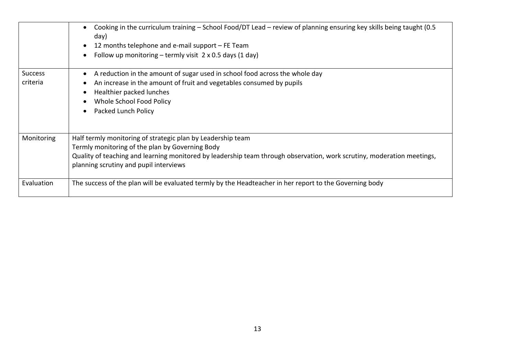|                            | Cooking in the curriculum training - School Food/DT Lead - review of planning ensuring key skills being taught (0.5<br>day)<br>12 months telephone and e-mail support – FE Team<br>Follow up monitoring – termly visit $2 \times 0.5$ days (1 day)                                 |
|----------------------------|------------------------------------------------------------------------------------------------------------------------------------------------------------------------------------------------------------------------------------------------------------------------------------|
| <b>Success</b><br>criteria | A reduction in the amount of sugar used in school food across the whole day<br>$\bullet$<br>An increase in the amount of fruit and vegetables consumed by pupils<br>Healthier packed lunches<br>Whole School Food Policy<br>Packed Lunch Policy                                    |
| Monitoring                 | Half termly monitoring of strategic plan by Leadership team<br>Termly monitoring of the plan by Governing Body<br>Quality of teaching and learning monitored by leadership team through observation, work scrutiny, moderation meetings,<br>planning scrutiny and pupil interviews |
| Evaluation                 | The success of the plan will be evaluated termly by the Headteacher in her report to the Governing body                                                                                                                                                                            |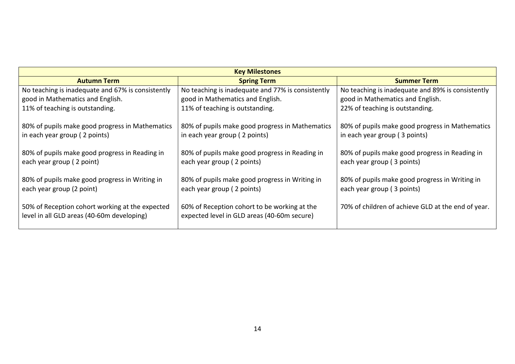| <b>Key Milestones</b>                                                                         |                                                                                             |                                                                                  |  |
|-----------------------------------------------------------------------------------------------|---------------------------------------------------------------------------------------------|----------------------------------------------------------------------------------|--|
| <b>Autumn Term</b>                                                                            | <b>Spring Term</b>                                                                          | <b>Summer Term</b>                                                               |  |
| No teaching is inadequate and 67% is consistently                                             | No teaching is inadequate and 77% is consistently                                           | No teaching is inadequate and 89% is consistently                                |  |
| good in Mathematics and English.                                                              | good in Mathematics and English.                                                            | good in Mathematics and English.                                                 |  |
| 11% of teaching is outstanding.                                                               | 11% of teaching is outstanding.                                                             | 22% of teaching is outstanding.                                                  |  |
| 80% of pupils make good progress in Mathematics<br>in each year group (2 points)              | 80% of pupils make good progress in Mathematics<br>in each year group (2 points)            | 80% of pupils make good progress in Mathematics<br>in each year group (3 points) |  |
| 80% of pupils make good progress in Reading in<br>each year group (2 point)                   | 80% of pupils make good progress in Reading in<br>each year group (2 points)                | 80% of pupils make good progress in Reading in<br>each year group (3 points)     |  |
| 80% of pupils make good progress in Writing in<br>each year group (2 point)                   | 80% of pupils make good progress in Writing in<br>each year group (2 points)                | 80% of pupils make good progress in Writing in<br>each year group (3 points)     |  |
| 50% of Reception cohort working at the expected<br>level in all GLD areas (40-60m developing) | 60% of Reception cohort to be working at the<br>expected level in GLD areas (40-60m secure) | 70% of children of achieve GLD at the end of year.                               |  |